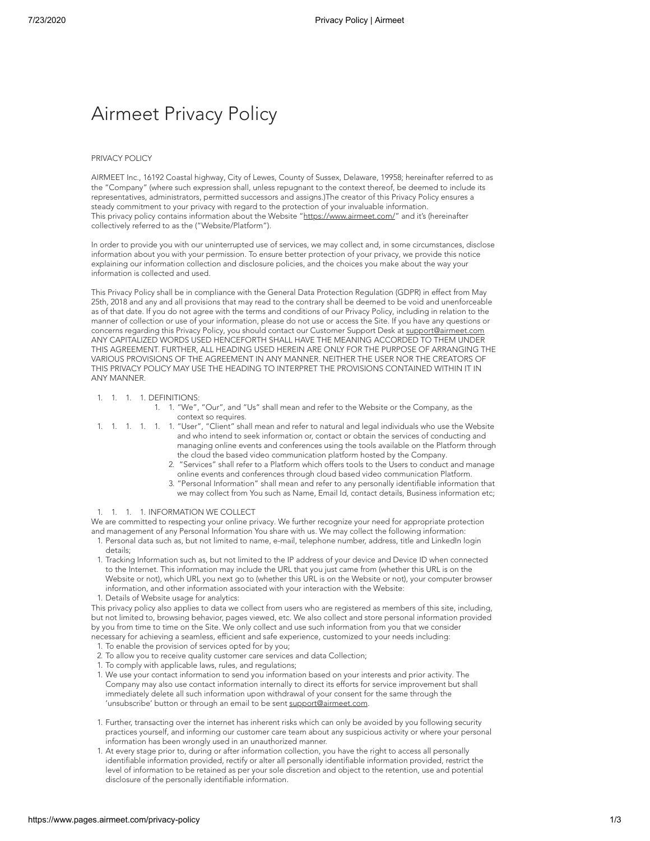# Airmeet Privacy Policy

### PRIVACY POLICY

AIRMEET Inc., 16192 Coastal highway, City of Lewes, County of Sussex, Delaware, 19958; hereinafter referred to as the "Company" (where such expression shall, unless repugnant to the context thereof, be deemed to include its representatives, administrators, permitted successors and assigns.)The creator of this Privacy Policy ensures a steady commitment to your privacy with regard to the protection of your invaluable information. This privacy policy contains information about the Website "<https://www.airmeet.com/>" and it's (hereinafter collectively referred to as the ("Website/Platform").

In order to provide you with our uninterrupted use of services, we may collect and, in some circumstances, disclose information about you with your permission. To ensure better protection of your privacy, we provide this notice explaining our information collection and disclosure policies, and the choices you make about the way your information is collected and used.

This Privacy Policy shall be in compliance with the General Data Protection Regulation (GDPR) in effect from May 25th, 2018 and any and all provisions that may read to the contrary shall be deemed to be void and unenforceable as of that date. If you do not agree with the terms and conditions of our Privacy Policy, including in relation to the manner of collection or use of your information, please do not use or access the Site. If you have any questions or concerns regarding this Privacy Policy, you should contact our Customer Support Desk at [support@airmeet.com](mailto:support@airmeet.com) ANY CAPITALIZED WORDS USED HENCEFORTH SHALL HAVE THE MEANING ACCORDED TO THEM UNDER THIS AGREEMENT. FURTHER, ALL HEADING USED HEREIN ARE ONLY FOR THE PURPOSE OF ARRANGING THE VARIOUS PROVISIONS OF THE AGREEMENT IN ANY MANNER. NEITHER THE USER NOR THE CREATORS OF THIS PRIVACY POLICY MAY USE THE HEADING TO INTERPRET THE PROVISIONS CONTAINED WITHIN IT IN ANY MANNER.

#### 1. 1. 1. 1. DEFINITIONS:

- 1. 1. "We", "Our", and "Us" shall mean and refer to the Website or the Company, as the context so requires.
- 1. 1. 1. 1. 1. 1. "User", "Client" shall mean and refer to natural and legal individuals who use the Website and who intend to seek information or, contact or obtain the services of conducting and managing online events and conferences using the tools available on the Platform through the cloud the based video communication platform hosted by the Company.
	- 2. "Services" shall refer to a Platform which offers tools to the Users to conduct and manage online events and conferences through cloud based video communication Platform.
	- 3. "Personal Information" shall mean and refer to any personally identifiable information that we may collect from You such as Name, Email Id, contact details, Business information etc;

## 1. 1. 1. 1. INFORMATION WE COLLECT

We are committed to respecting your online privacy. We further recognize your need for appropriate protection and management of any Personal Information You share with us. We may collect the following information:

- 1. Personal data such as, but not limited to name, e-mail, telephone number, address, title and LinkedIn login details;
- 1. Tracking Information such as, but not limited to the IP address of your device and Device ID when connected to the Internet. This information may include the URL that you just came from (whether this URL is on the Website or not), which URL you next go to (whether this URL is on the Website or not), your computer browser information, and other information associated with your interaction with the Website: 1. Details of Website usage for analytics:

This privacy policy also applies to data we collect from users who are registered as members of this site, including, but not limited to, browsing behavior, pages viewed, etc. We also collect and store personal information provided by you from time to time on the Site. We only collect and use such information from you that we consider necessary for achieving a seamless, efficient and safe experience, customized to your needs including:

- 1. To enable the provision of services opted for by you;
- 2. To allow you to receive quality customer care services and data Collection;
- 1. To comply with applicable laws, rules, and regulations;
- 1. We use your contact information to send you information based on your interests and prior activity. The Company may also use contact information internally to direct its efforts for service improvement but shall immediately delete all such information upon withdrawal of your consent for the same through the 'unsubscribe' button or through an email to be sent [support@airmeet.com](mailto:support@airmeet.com).
- 1. Further, transacting over the internet has inherent risks which can only be avoided by you following security practices yourself, and informing our customer care team about any suspicious activity or where your personal information has been wrongly used in an unauthorized manner.
- 1. At every stage prior to, during or after information collection, you have the right to access all personally identifiable information provided, rectify or alter all personally identifiable information provided, restrict the level of information to be retained as per your sole discretion and object to the retention, use and potential disclosure of the personally identifiable information.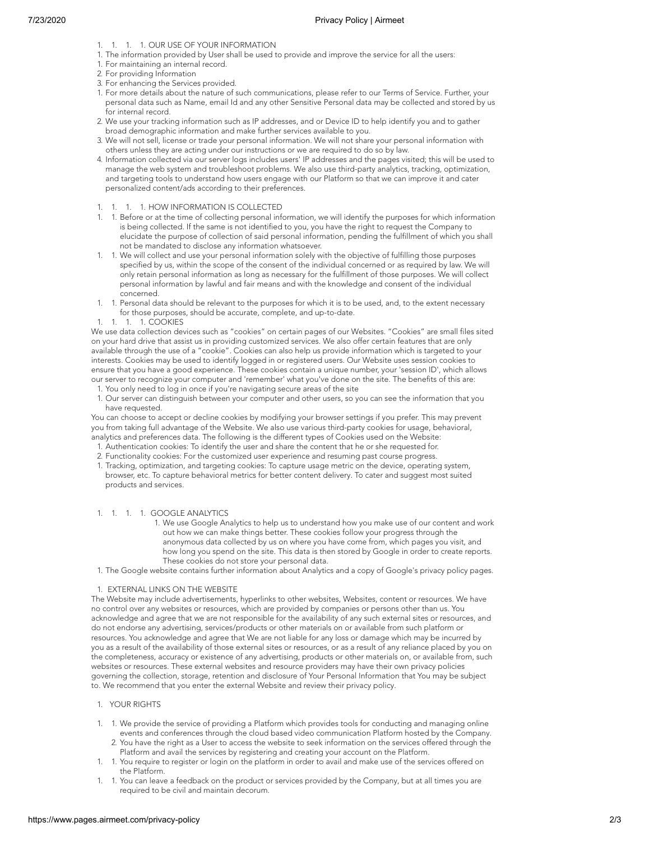- 1. 1. 1. 1. OUR USE OF YOUR INFORMATION
- 1. The information provided by User shall be used to provide and improve the service for all the users:
- 1. For maintaining an internal record.
- 2. For providing Information
- 3. For enhancing the Services provided.
- 1. For more details about the nature of such communications, please refer to our Terms of Service. Further, your personal data such as Name, email Id and any other Sensitive Personal data may be collected and stored by us for internal record.
- 2. We use your tracking information such as IP addresses, and or Device ID to help identify you and to gather broad demographic information and make further services available to you.
- 3. We will not sell, license or trade your personal information. We will not share your personal information with others unless they are acting under our instructions or we are required to do so by law.
- 4. Information collected via our server logs includes users' IP addresses and the pages visited; this will be used to manage the web system and troubleshoot problems. We also use third-party analytics, tracking, optimization, and targeting tools to understand how users engage with our Platform so that we can improve it and cater personalized content/ads according to their preferences.

## 1. 1. 1. 1. HOW INFORMATION IS COLLECTED

- 1. 1. Before or at the time of collecting personal information, we will identify the purposes for which information is being collected. If the same is not identified to you, you have the right to request the Company to elucidate the purpose of collection of said personal information, pending the fulfillment of which you shall not be mandated to disclose any information whatsoever.
- 1. 1. We will collect and use your personal information solely with the objective of fulfilling those purposes specified by us, within the scope of the consent of the individual concerned or as required by law. We will only retain personal information as long as necessary for the fulfillment of those purposes. We will collect personal information by lawful and fair means and with the knowledge and consent of the individual concerned.
- 1. 1. Personal data should be relevant to the purposes for which it is to be used, and, to the extent necessary for those purposes, should be accurate, complete, and up-to-date.
- 1. 1. 1. 1. COOKIES

We use data collection devices such as "cookies" on certain pages of our Websites. "Cookies" are small files sited on your hard drive that assist us in providing customized services. We also offer certain features that are only available through the use of a "cookie". Cookies can also help us provide information which is targeted to your interests. Cookies may be used to identify logged in or registered users. Our Website uses session cookies to ensure that you have a good experience. These cookies contain a unique number, your 'session ID', which allows our server to recognize your computer and 'remember' what you've done on the site. The benefits of this are:

1. You only need to log in once if you're navigating secure areas of the site 1. Our server can distinguish between your computer and other users, so you can see the information that you have requested.

You can choose to accept or decline cookies by modifying your browser settings if you prefer. This may prevent you from taking full advantage of the Website. We also use various third-party cookies for usage, behavioral, analytics and preferences data. The following is the different types of Cookies used on the Website:

- 1. Authentication cookies: To identify the user and share the content that he or she requested for.
- 2. Functionality cookies: For the customized user experience and resuming past course progress. 1. Tracking, optimization, and targeting cookies: To capture usage metric on the device, operating system,
- browser, etc. To capture behavioral metrics for better content delivery. To cater and suggest most suited products and services.

## 1. 1. 1. 1. GOOGLE ANALYTICS

1. We use Google Analytics to help us to understand how you make use of our content and work out how we can make things better. These cookies follow your progress through the anonymous data collected by us on where you have come from, which pages you visit, and how long you spend on the site. This data is then stored by Google in order to create reports. These cookies do not store your personal data.

1. The Google website contains further information about Analytics and a copy of Google's privacy policy pages.

# 1. EXTERNAL LINKS ON THE WEBSITE

The Website may include advertisements, hyperlinks to other websites, Websites, content or resources. We have no control over any websites or resources, which are provided by companies or persons other than us. You acknowledge and agree that we are not responsible for the availability of any such external sites or resources, and do not endorse any advertising, services/products or other materials on or available from such platform or resources. You acknowledge and agree that We are not liable for any loss or damage which may be incurred by you as a result of the availability of those external sites or resources, or as a result of any reliance placed by you on the completeness, accuracy or existence of any advertising, products or other materials on, or available from, such websites or resources. These external websites and resource providers may have their own privacy policies governing the collection, storage, retention and disclosure of Your Personal Information that You may be subject to. We recommend that you enter the external Website and review their privacy policy.

- 1. YOUR RIGHTS
- 1. 1. We provide the service of providing a Platform which provides tools for conducting and managing online events and conferences through the cloud based video communication Platform hosted by the Company. 2. You have the right as a User to access the website to seek information on the services offered through the
	- Platform and avail the services by registering and creating your account on the Platform.
- 1. 1. You require to register or login on the platform in order to avail and make use of the services offered on the Platform.
- 1. 1. You can leave a feedback on the product or services provided by the Company, but at all times you are required to be civil and maintain decorum.